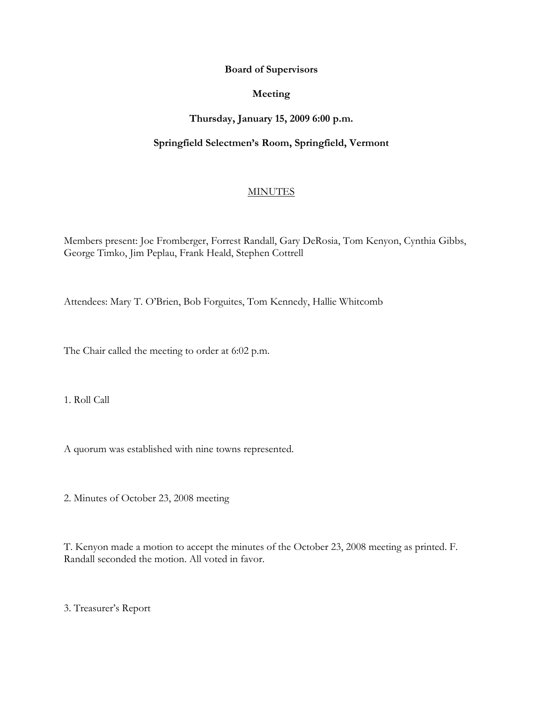#### **Board of Supervisors**

#### **Meeting**

# **Thursday, January 15, 2009 6:00 p.m.**

# **Springfield Selectmen's Room, Springfield, Vermont**

### **MINUTES**

Members present: Joe Fromberger, Forrest Randall, Gary DeRosia, Tom Kenyon, Cynthia Gibbs, George Timko, Jim Peplau, Frank Heald, Stephen Cottrell

Attendees: Mary T. O'Brien, Bob Forguites, Tom Kennedy, Hallie Whitcomb

The Chair called the meeting to order at 6:02 p.m.

1. Roll Call

A quorum was established with nine towns represented.

2. Minutes of October 23, 2008 meeting

T. Kenyon made a motion to accept the minutes of the October 23, 2008 meeting as printed. F. Randall seconded the motion. All voted in favor.

3. Treasurer's Report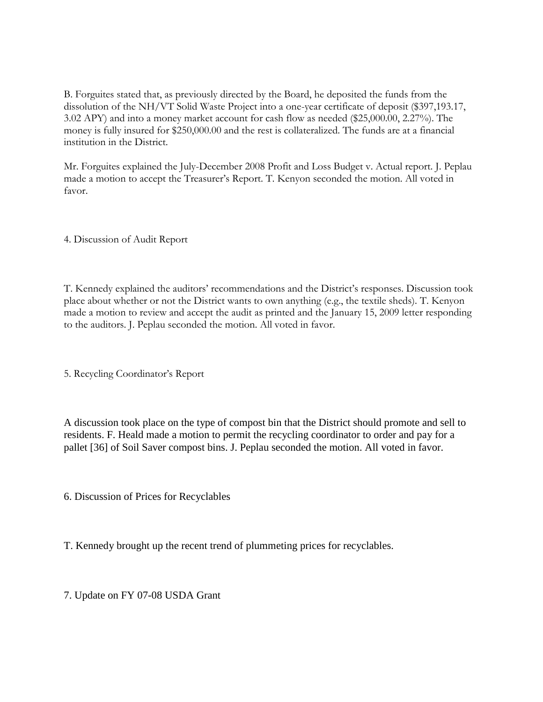B. Forguites stated that, as previously directed by the Board, he deposited the funds from the dissolution of the NH/VT Solid Waste Project into a one-year certificate of deposit (\$397,193.17, 3.02 APY) and into a money market account for cash flow as needed (\$25,000.00, 2.27%). The money is fully insured for \$250,000.00 and the rest is collateralized. The funds are at a financial institution in the District.

Mr. Forguites explained the July-December 2008 Profit and Loss Budget v. Actual report. J. Peplau made a motion to accept the Treasurer's Report. T. Kenyon seconded the motion. All voted in favor.

4. Discussion of Audit Report

T. Kennedy explained the auditors' recommendations and the District's responses. Discussion took place about whether or not the District wants to own anything (e.g., the textile sheds). T. Kenyon made a motion to review and accept the audit as printed and the January 15, 2009 letter responding to the auditors. J. Peplau seconded the motion. All voted in favor.

5. Recycling Coordinator's Report

A discussion took place on the type of compost bin that the District should promote and sell to residents. F. Heald made a motion to permit the recycling coordinator to order and pay for a pallet [36] of Soil Saver compost bins. J. Peplau seconded the motion. All voted in favor.

6. Discussion of Prices for Recyclables

T. Kennedy brought up the recent trend of plummeting prices for recyclables.

7. Update on FY 07-08 USDA Grant